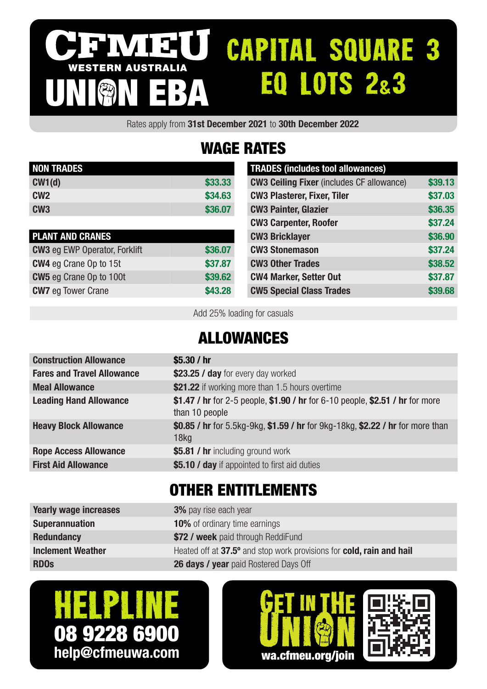#### CAPITAL SQUARE 3 IV I 31 U I WESTERN AUSTRALIA EQ LOTS 2&3 UNION EBA

Rates apply from 31st December 2021 to 30th December 2022

# WAGE RATES

| <b>NON TRADES</b> |         |
|-------------------|---------|
| CW1(d)            | \$33,33 |
| CM2               | \$34.63 |
| CW <sub>3</sub>   | \$36,07 |

| <b>PLANT AND CRANES</b>              |         |
|--------------------------------------|---------|
| <b>CW3</b> eg EWP Operator, Forklift | \$36.07 |
| <b>CW4</b> eg Crane Op to 15t        | \$37.87 |
| <b>CW5</b> eg Crane Op to 100t       | \$39.62 |
| <b>CW7</b> eg Tower Crane            | \$43.28 |

| <b>TRADES (includes tool allowances)</b>         |         |
|--------------------------------------------------|---------|
| <b>CW3 Ceiling Fixer (includes CF allowance)</b> | \$39.13 |
| <b>CW3 Plasterer, Fixer, Tiler</b>               | \$37.03 |
| <b>CW3 Painter, Glazier</b>                      | \$36.35 |
| <b>CW3 Carpenter, Roofer</b>                     | \$37.24 |
| <b>CW3 Bricklayer</b>                            | \$36.90 |
| <b>CW3 Stonemason</b>                            | \$37.24 |
| <b>CW3 Other Trades</b>                          | \$38.52 |
| <b>CW4 Marker, Setter Out</b>                    | \$37.87 |
| <b>CW5 Special Class Trades</b>                  | \$39.68 |

Add 25% loading for casuals

### ALLOWANCES

| <b>Construction Allowance</b>     | \$5.30 $/$ hr                                                                                      |
|-----------------------------------|----------------------------------------------------------------------------------------------------|
| <b>Fares and Travel Allowance</b> | \$23.25 / day for every day worked                                                                 |
| <b>Meal Allowance</b>             | \$21.22 if working more than 1.5 hours overtime                                                    |
| <b>Leading Hand Allowance</b>     | \$1.47 / hr for 2-5 people, \$1.90 / hr for 6-10 people, \$2.51 / hr for more<br>than 10 people    |
| <b>Heavy Block Allowance</b>      | \$0.85 / hr for 5.5kg-9kg, \$1.59 / hr for 9kg-18kg, \$2.22 / hr for more than<br>18 <sub>kq</sub> |
| <b>Rope Access Allowance</b>      | \$5.81 / hr including ground work                                                                  |
| <b>First Aid Allowance</b>        | \$5.10 / day if appointed to first aid duties                                                      |
|                                   |                                                                                                    |

## OTHER ENTITLEMENTS

| <b>Yearly wage increases</b> | <b>3%</b> pay rise each year                                         |
|------------------------------|----------------------------------------------------------------------|
| <b>Superannuation</b>        | <b>10%</b> of ordinary time earnings                                 |
| <b>Redundancy</b>            | \$72 / week paid through ReddiFund                                   |
| <b>Inclement Weather</b>     | Heated off at 37.5° and stop work provisions for cold, rain and hail |
| <b>RDO<sub>s</sub></b>       | <b>26 days / year</b> paid Rostered Days Off                         |